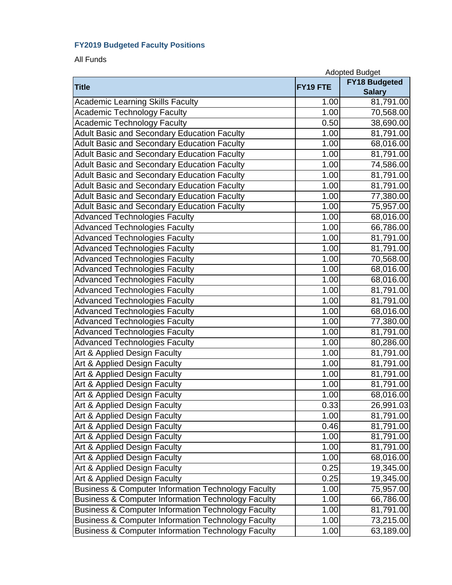## **FY2019 Budgeted Faculty Positions**

All Funds

|                                                               | <b>Adopted Budget</b> |                                       |
|---------------------------------------------------------------|-----------------------|---------------------------------------|
| <b>Title</b>                                                  | FY19 FTE              | <b>FY18 Budgeted</b><br><b>Salary</b> |
| <b>Academic Learning Skills Faculty</b>                       | 1.00                  | 81,791.00                             |
| <b>Academic Technology Faculty</b>                            | 1.00                  | 70,568.00                             |
| <b>Academic Technology Faculty</b>                            | 0.50                  | 38,690.00                             |
| <b>Adult Basic and Secondary Education Faculty</b>            | 1.00                  | $\overline{81,79}1.00$                |
| <b>Adult Basic and Secondary Education Faculty</b>            | 1.00                  | 68,016.00                             |
| <b>Adult Basic and Secondary Education Faculty</b>            | 1.00                  | 81,791.00                             |
| <b>Adult Basic and Secondary Education Faculty</b>            | 1.00                  | 74,586.00                             |
| <b>Adult Basic and Secondary Education Faculty</b>            | 1.00                  | 81,791.00                             |
| <b>Adult Basic and Secondary Education Faculty</b>            | $\overline{1}$ .00    | 81,791.00                             |
| <b>Adult Basic and Secondary Education Faculty</b>            | 1.00                  | 77,380.00                             |
| <b>Adult Basic and Secondary Education Faculty</b>            | 1.00                  | 75,957.00                             |
| <b>Advanced Technologies Faculty</b>                          | 1.00                  | 68,016.00                             |
| <b>Advanced Technologies Faculty</b>                          | 1.00                  | 66,786.00                             |
| <b>Advanced Technologies Faculty</b>                          | 1.00                  | 81,791.00                             |
| <b>Advanced Technologies Faculty</b>                          | 1.00                  | 81,791.00                             |
| <b>Advanced Technologies Faculty</b>                          | 1.00                  | 70,568.00                             |
| <b>Advanced Technologies Faculty</b>                          | 1.00                  | 68,016.00                             |
| <b>Advanced Technologies Faculty</b>                          | 1.00                  | 68,016.00                             |
| <b>Advanced Technologies Faculty</b>                          | 1.00                  | 81,791.00                             |
| <b>Advanced Technologies Faculty</b>                          | 1.00                  | 81,791.00                             |
| <b>Advanced Technologies Faculty</b>                          | 1.00                  | 68,016.00                             |
| <b>Advanced Technologies Faculty</b>                          | 1.00                  | 77,380.00                             |
| <b>Advanced Technologies Faculty</b>                          | 1.00                  | 81,791.00                             |
| <b>Advanced Technologies Faculty</b>                          | 1.00                  | 80,286.00                             |
| Art & Applied Design Faculty                                  | $\overline{1}.00$     | 81,791.00                             |
| Art & Applied Design Faculty                                  | 1.00                  | 81,791.00                             |
| Art & Applied Design Faculty                                  | 1.00                  | 81,791.00                             |
| Art & Applied Design Faculty                                  | 1.00                  | 81,791.00                             |
| Art & Applied Design Faculty                                  | 1.00                  | 68,016.00                             |
| Art & Applied Design Faculty                                  | 0.33                  | 26,991.03                             |
| Art & Applied Design Faculty                                  | 1.00                  | 81,791.00                             |
| Art & Applied Design Faculty                                  | 0.46                  | 81,791.00                             |
| Art & Applied Design Faculty                                  | 1.00                  | 81,791.00                             |
| Art & Applied Design Faculty                                  | 1.00                  | 81,791.00                             |
| Art & Applied Design Faculty                                  | 1.00                  | 68,016.00                             |
| Art & Applied Design Faculty                                  | 0.25                  | 19,345.00                             |
| Art & Applied Design Faculty                                  | 0.25                  | 19,345.00                             |
| <b>Business &amp; Computer Information Technology Faculty</b> | 1.00                  | 75,957.00                             |
| <b>Business &amp; Computer Information Technology Faculty</b> | 1.00                  | 66,786.00                             |
| <b>Business &amp; Computer Information Technology Faculty</b> | 1.00                  | 81,791.00                             |
| <b>Business &amp; Computer Information Technology Faculty</b> | 1.00                  | 73,215.00                             |
| <b>Business &amp; Computer Information Technology Faculty</b> | 1.00                  | 63,189.00                             |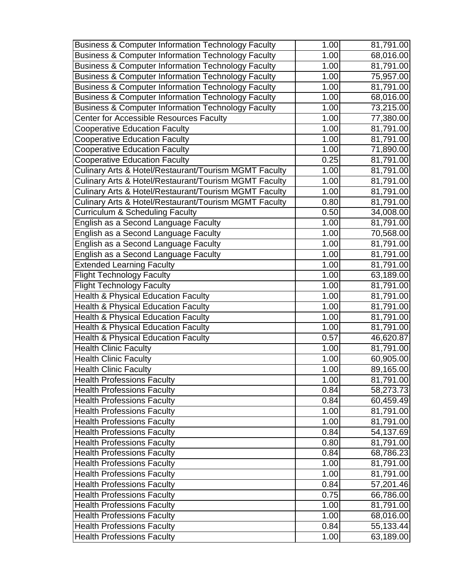| <b>Business &amp; Computer Information Technology Faculty</b> | 1.00 | 81,791.00              |
|---------------------------------------------------------------|------|------------------------|
| <b>Business &amp; Computer Information Technology Faculty</b> | 1.00 | 68,016.00              |
| <b>Business &amp; Computer Information Technology Faculty</b> | 1.00 | 81,791.00              |
| <b>Business &amp; Computer Information Technology Faculty</b> | 1.00 | 75,957.00              |
| <b>Business &amp; Computer Information Technology Faculty</b> | 1.00 | 81,791.00              |
| <b>Business &amp; Computer Information Technology Faculty</b> | 1.00 | 68,016.00              |
| Business & Computer Information Technology Faculty            | 1.00 | 73,215.00              |
| Center for Accessible Resources Faculty                       | 1.00 | 77,380.00              |
| <b>Cooperative Education Faculty</b>                          | 1.00 | 81,791.00              |
| <b>Cooperative Education Faculty</b>                          | 1.00 | 81,791.00              |
| <b>Cooperative Education Faculty</b>                          | 1.00 | 71,890.00              |
| <b>Cooperative Education Faculty</b>                          | 0.25 | 81,791.00              |
| Culinary Arts & Hotel/Restaurant/Tourism MGMT Faculty         | 1.00 | 81,791.00              |
| Culinary Arts & Hotel/Restaurant/Tourism MGMT Faculty         | 1.00 | 81,791.00              |
| Culinary Arts & Hotel/Restaurant/Tourism MGMT Faculty         | 1.00 | 81,791.00              |
| Culinary Arts & Hotel/Restaurant/Tourism MGMT Faculty         | 0.80 | 81,791.00              |
| <b>Curriculum &amp; Scheduling Faculty</b>                    | 0.50 | 34,008.00              |
| English as a Second Language Faculty                          | 1.00 | 81,791.00              |
| English as a Second Language Faculty                          | 1.00 | 70,568.00              |
| English as a Second Language Faculty                          | 1.00 | $\overline{81,79}1.00$ |
| English as a Second Language Faculty                          | 1.00 | 81,791.00              |
| <b>Extended Learning Faculty</b>                              | 1.00 | 81,791.00              |
| <b>Flight Technology Faculty</b>                              | 1.00 | 63,189.00              |
| <b>Flight Technology Faculty</b>                              | 1.00 | 81,791.00              |
| <b>Health &amp; Physical Education Faculty</b>                | 1.00 | 81,791.00              |
| <b>Health &amp; Physical Education Faculty</b>                | 1.00 | 81,791.00              |
| <b>Health &amp; Physical Education Faculty</b>                | 1.00 | 81,791.00              |
| <b>Health &amp; Physical Education Faculty</b>                | 1.00 | 81,791.00              |
| <b>Health &amp; Physical Education Faculty</b>                | 0.57 | 46,620.87              |
| <b>Health Clinic Faculty</b>                                  | 1.00 | 81,791.00              |
| <b>Health Clinic Faculty</b>                                  | 1.00 | 60,905.00              |
| <b>Health Clinic Faculty</b>                                  | 1.00 | 89,165.00              |
| <b>Health Professions Faculty</b>                             | 1.00 | 81,791.00              |
| <b>Health Professions Faculty</b>                             | 0.84 | 58,273.73              |
| <b>Health Professions Faculty</b>                             | 0.84 | 60,459.49              |
| <b>Health Professions Faculty</b>                             | 1.00 | 81,791.00              |
| <b>Health Professions Faculty</b>                             | 1.00 | 81,791.00              |
| <b>Health Professions Faculty</b>                             | 0.84 | 54,137.69              |
| <b>Health Professions Faculty</b>                             | 0.80 | 81,791.00              |
| <b>Health Professions Faculty</b>                             | 0.84 | 68,786.23              |
| <b>Health Professions Faculty</b>                             | 1.00 | 81,791.00              |
| <b>Health Professions Faculty</b>                             | 1.00 | 81,791.00              |
| <b>Health Professions Faculty</b>                             | 0.84 | 57,201.46              |
| <b>Health Professions Faculty</b>                             | 0.75 | 66,786.00              |
| <b>Health Professions Faculty</b>                             | 1.00 | 81,791.00              |
| <b>Health Professions Faculty</b>                             | 1.00 | 68,016.00              |
| <b>Health Professions Faculty</b>                             | 0.84 | 55,133.44              |
| <b>Health Professions Faculty</b>                             | 1.00 | 63,189.00              |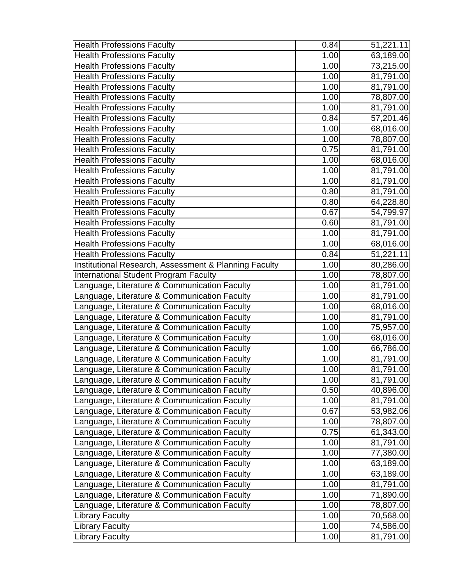| <b>Health Professions Faculty</b>                     | 0.84              | 51,221.11 |
|-------------------------------------------------------|-------------------|-----------|
| <b>Health Professions Faculty</b>                     | $\overline{1}.00$ | 63,189.00 |
| <b>Health Professions Faculty</b>                     | 1.00              | 73,215.00 |
| <b>Health Professions Faculty</b>                     | 1.00              | 81,791.00 |
| <b>Health Professions Faculty</b>                     | 1.00              | 81,791.00 |
| <b>Health Professions Faculty</b>                     | 1.00              | 78,807.00 |
| <b>Health Professions Faculty</b>                     | 1.00              | 81,791.00 |
| <b>Health Professions Faculty</b>                     | 0.84              | 57,201.46 |
| <b>Health Professions Faculty</b>                     | 1.00              | 68,016.00 |
| <b>Health Professions Faculty</b>                     | 1.00              | 78,807.00 |
| <b>Health Professions Faculty</b>                     | 0.75              | 81,791.00 |
| <b>Health Professions Faculty</b>                     | 1.00              | 68,016.00 |
| <b>Health Professions Faculty</b>                     | 1.00              | 81,791.00 |
| <b>Health Professions Faculty</b>                     | 1.00              | 81,791.00 |
| <b>Health Professions Faculty</b>                     | 0.80              | 81,791.00 |
| <b>Health Professions Faculty</b>                     | 0.80              | 64,228.80 |
| <b>Health Professions Faculty</b>                     | 0.67              | 54,799.97 |
| <b>Health Professions Faculty</b>                     | 0.60              | 81,791.00 |
| <b>Health Professions Faculty</b>                     | 1.00              | 81,791.00 |
| <b>Health Professions Faculty</b>                     | 1.00              | 68,016.00 |
| <b>Health Professions Faculty</b>                     | 0.84              | 51,221.11 |
| Institutional Research, Assessment & Planning Faculty | 1.00              | 80,286.00 |
| <b>International Student Program Faculty</b>          | 1.00              | 78,807.00 |
| anguage, Literature & Communication Faculty           | 1.00              | 81,791.00 |
| Language, Literature & Communication Faculty          | 1.00              | 81,791.00 |
| Language, Literature & Communication Faculty          | 1.00              | 68,016.00 |
| anguage, Literature & Communication Faculty           | 1.00              | 81,791.00 |
| anguage, Literature & Communication Faculty           | 1.00              | 75,957.00 |
| anguage, Literature & Communication Faculty           | 1.00              | 68,016.00 |
| Language, Literature & Communication Faculty          | 1.00              | 66,786.00 |
| Language, Literature & Communication Faculty          | 1.00              | 81,791.00 |
| Language, Literature & Communication Faculty          | 1.00              | 81,791.00 |
| Language, Literature & Communication Faculty          | 1.00              | 81,791.00 |
| Language, Literature & Communication Faculty          | 0.50              | 40,896.00 |
| Language, Literature & Communication Faculty          | 1.00              | 81,791.00 |
| Language, Literature & Communication Faculty          | 0.67              | 53,982.06 |
| Language, Literature & Communication Faculty          | 1.00              | 78,807.00 |
| Language, Literature & Communication Faculty          | 0.75              | 61,343.00 |
| Language, Literature & Communication Faculty          | 1.00              | 81,791.00 |
| Language, Literature & Communication Faculty          | 1.00              | 77,380.00 |
| Language, Literature & Communication Faculty          | 1.00              | 63,189.00 |
| Language, Literature & Communication Faculty          | 1.00              | 63,189.00 |
| Language, Literature & Communication Faculty          | 1.00              | 81,791.00 |
| Language, Literature & Communication Faculty          | 1.00              | 71,890.00 |
| Language, Literature & Communication Faculty          | 1.00              | 78,807.00 |
| <b>Library Faculty</b>                                | 1.00              | 70,568.00 |
| <b>Library Faculty</b>                                | 1.00              | 74,586.00 |
| <b>Library Faculty</b>                                | 1.00              | 81,791.00 |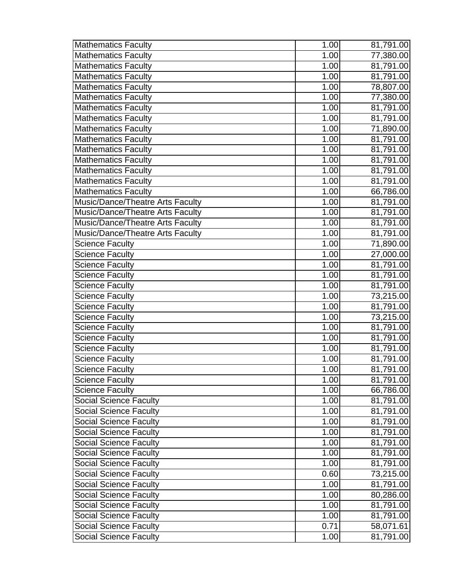| <b>Mathematics Faculty</b>              | 1.00 | 81,791.00              |
|-----------------------------------------|------|------------------------|
| <b>Mathematics Faculty</b>              | 1.00 | 77,380.00              |
| <b>Mathematics Faculty</b>              | 1.00 | 81,791.00              |
| <b>Mathematics Faculty</b>              | 1.00 | 81,791.00              |
| <b>Mathematics Faculty</b>              | 1.00 | 78,807.00              |
| <b>Mathematics Faculty</b>              | 1.00 | 77,380.00              |
| <b>Mathematics Faculty</b>              | 1.00 | 81,791.00              |
| <b>Mathematics Faculty</b>              | 1.00 | 81,791.00              |
| <b>Mathematics Faculty</b>              | 1.00 | 71,890.00              |
| <b>Mathematics Faculty</b>              | 1.00 | 81,791.00              |
| <b>Mathematics Faculty</b>              | 1.00 | 81,791.00              |
| <b>Mathematics Faculty</b>              | 1.00 | 81,791.00              |
| Mathematics Faculty                     | 1.00 | 81,791.00              |
| <b>Mathematics Faculty</b>              | 1.00 | 81,791.00              |
| <b>Mathematics Faculty</b>              | 1.00 | 66,786.00              |
| Music/Dance/Theatre Arts Faculty        | 1.00 | 81,791.00              |
| <b>Music/Dance/Theatre Arts Faculty</b> | 1.00 | 81,791.00              |
| Music/Dance/Theatre Arts Faculty        | 1.00 | 81,791.00              |
| Music/Dance/Theatre Arts Faculty        | 1.00 | 81,791.00              |
| <b>Science Faculty</b>                  | 1.00 | 71,890.00              |
| <b>Science Faculty</b>                  | 1.00 | 27,000.00              |
| Science Faculty                         | 1.00 | 81,791.00              |
| <b>Science Faculty</b>                  | 1.00 | 81,791.00              |
| <b>Science Faculty</b>                  | 1.00 | 81,791.00              |
| <b>Science Faculty</b>                  | 1.00 | 73,215.00              |
| <b>Science Faculty</b>                  | 1.00 | 81,791.00              |
| <b>Science Faculty</b>                  | 1.00 | $\overline{73,21}5.00$ |
| <b>Science Faculty</b>                  | 1.00 | 81,791.00              |
| <b>Science Faculty</b>                  | 1.00 | 81,791.00              |
| <b>Science Faculty</b>                  | 1.00 | 81,791.00              |
| <b>Science Faculty</b>                  | 1.00 | 81,791.00              |
| <b>Science Faculty</b>                  | 1.00 | 81,791.00              |
| <b>Science Faculty</b>                  | 1.00 | 81,791.00              |
| <b>Science Faculty</b>                  | 1.00 | 66,786.00              |
| <b>Social Science Faculty</b>           | 1.00 | 81,791.00              |
| Social Science Faculty                  | 1.00 | 81,791.00              |
| <b>Social Science Faculty</b>           | 1.00 | 81,791.00              |
| <b>Social Science Faculty</b>           | 1.00 | 81,791.00              |
| <b>Social Science Faculty</b>           | 1.00 | 81,791.00              |
| <b>Social Science Faculty</b>           | 1.00 | 81,791.00              |
| <b>Social Science Faculty</b>           | 1.00 | 81,791.00              |
| <b>Social Science Faculty</b>           | 0.60 | 73,215.00              |
| <b>Social Science Faculty</b>           | 1.00 | 81,791.00              |
| <b>Social Science Faculty</b>           | 1.00 | 80,286.00              |
| <b>Social Science Faculty</b>           | 1.00 | 81,791.00              |
| <b>Social Science Faculty</b>           | 1.00 | 81,791.00              |
| <b>Social Science Faculty</b>           | 0.71 | 58,071.61              |
| <b>Social Science Faculty</b>           | 1.00 | 81,791.00              |